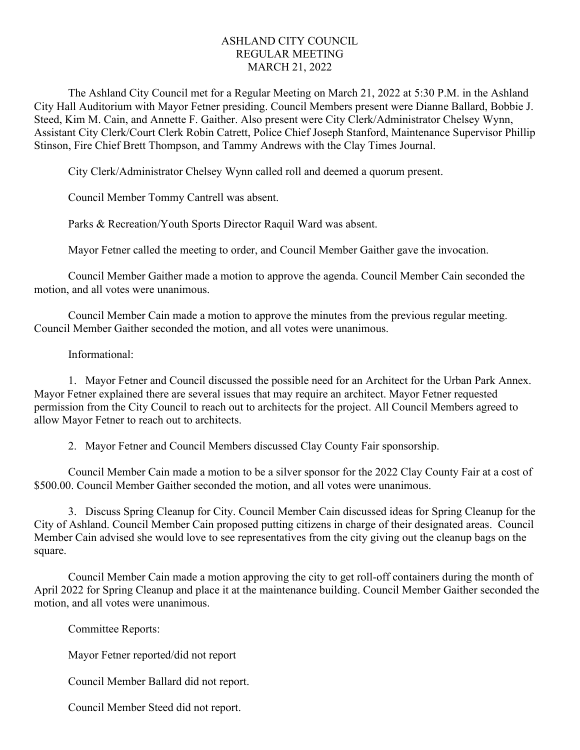## ASHLAND CITY COUNCIL REGULAR MEETING MARCH 21, 2022

The Ashland City Council met for a Regular Meeting on March 21, 2022 at 5:30 P.M. in the Ashland City Hall Auditorium with Mayor Fetner presiding. Council Members present were Dianne Ballard, Bobbie J. Steed, Kim M. Cain, and Annette F. Gaither. Also present were City Clerk/Administrator Chelsey Wynn, Assistant City Clerk/Court Clerk Robin Catrett, Police Chief Joseph Stanford, Maintenance Supervisor Phillip Stinson, Fire Chief Brett Thompson, and Tammy Andrews with the Clay Times Journal.

City Clerk/Administrator Chelsey Wynn called roll and deemed a quorum present.

Council Member Tommy Cantrell was absent.

Parks & Recreation/Youth Sports Director Raquil Ward was absent.

Mayor Fetner called the meeting to order, and Council Member Gaither gave the invocation.

Council Member Gaither made a motion to approve the agenda. Council Member Cain seconded the motion, and all votes were unanimous.

Council Member Cain made a motion to approve the minutes from the previous regular meeting. Council Member Gaither seconded the motion, and all votes were unanimous.

## Informational:

1. Mayor Fetner and Council discussed the possible need for an Architect for the Urban Park Annex. Mayor Fetner explained there are several issues that may require an architect. Mayor Fetner requested permission from the City Council to reach out to architects for the project. All Council Members agreed to allow Mayor Fetner to reach out to architects.

2. Mayor Fetner and Council Members discussed Clay County Fair sponsorship.

Council Member Cain made a motion to be a silver sponsor for the 2022 Clay County Fair at a cost of \$500.00. Council Member Gaither seconded the motion, and all votes were unanimous.

3. Discuss Spring Cleanup for City. Council Member Cain discussed ideas for Spring Cleanup for the City of Ashland. Council Member Cain proposed putting citizens in charge of their designated areas. Council Member Cain advised she would love to see representatives from the city giving out the cleanup bags on the square.

Council Member Cain made a motion approving the city to get roll-off containers during the month of April 2022 for Spring Cleanup and place it at the maintenance building. Council Member Gaither seconded the motion, and all votes were unanimous.

Committee Reports:

Mayor Fetner reported/did not report

Council Member Ballard did not report.

Council Member Steed did not report.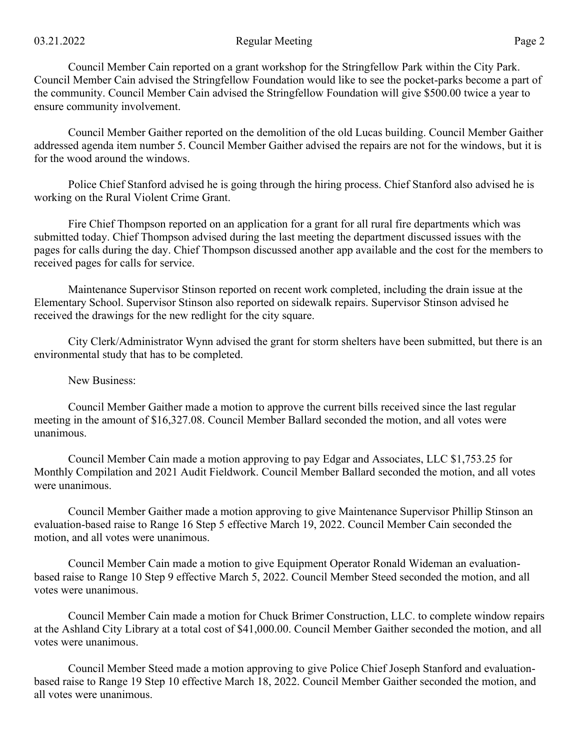## 03.21.2022 Regular Meeting Page 2

Council Member Cain reported on a grant workshop for the Stringfellow Park within the City Park. Council Member Cain advised the Stringfellow Foundation would like to see the pocket-parks become a part of the community. Council Member Cain advised the Stringfellow Foundation will give \$500.00 twice a year to ensure community involvement.

Council Member Gaither reported on the demolition of the old Lucas building. Council Member Gaither addressed agenda item number 5. Council Member Gaither advised the repairs are not for the windows, but it is for the wood around the windows.

Police Chief Stanford advised he is going through the hiring process. Chief Stanford also advised he is working on the Rural Violent Crime Grant.

Fire Chief Thompson reported on an application for a grant for all rural fire departments which was submitted today. Chief Thompson advised during the last meeting the department discussed issues with the pages for calls during the day. Chief Thompson discussed another app available and the cost for the members to received pages for calls for service.

Maintenance Supervisor Stinson reported on recent work completed, including the drain issue at the Elementary School. Supervisor Stinson also reported on sidewalk repairs. Supervisor Stinson advised he received the drawings for the new redlight for the city square.

City Clerk/Administrator Wynn advised the grant for storm shelters have been submitted, but there is an environmental study that has to be completed.

## New Business:

Council Member Gaither made a motion to approve the current bills received since the last regular meeting in the amount of \$16,327.08. Council Member Ballard seconded the motion, and all votes were unanimous.

Council Member Cain made a motion approving to pay Edgar and Associates, LLC \$1,753.25 for Monthly Compilation and 2021 Audit Fieldwork. Council Member Ballard seconded the motion, and all votes were unanimous.

Council Member Gaither made a motion approving to give Maintenance Supervisor Phillip Stinson an evaluation-based raise to Range 16 Step 5 effective March 19, 2022. Council Member Cain seconded the motion, and all votes were unanimous.

Council Member Cain made a motion to give Equipment Operator Ronald Wideman an evaluationbased raise to Range 10 Step 9 effective March 5, 2022. Council Member Steed seconded the motion, and all votes were unanimous.

Council Member Cain made a motion for Chuck Brimer Construction, LLC. to complete window repairs at the Ashland City Library at a total cost of \$41,000.00. Council Member Gaither seconded the motion, and all votes were unanimous.

Council Member Steed made a motion approving to give Police Chief Joseph Stanford and evaluationbased raise to Range 19 Step 10 effective March 18, 2022. Council Member Gaither seconded the motion, and all votes were unanimous.